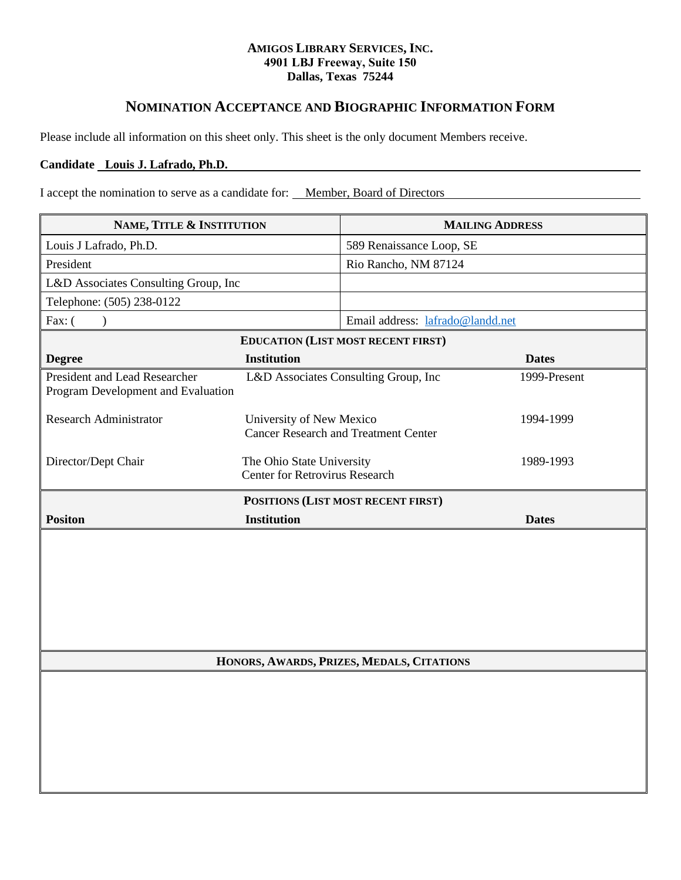## **AMIGOS LIBRARY SERVICES, INC. 4901 LBJ Freeway, Suite 150 Dallas, Texas 75244**

## **NOMINATION ACCEPTANCE AND BIOGRAPHIC INFORMATION FORM**

Please include all information on this sheet only. This sheet is the only document Members receive.

## **Candidate Louis J. Lafrado, Ph.D.**

I accept the nomination to serve as a candidate for: Member, Board of Directors

| NAME, TITLE & INSTITUTION                                           |                                                                    | <b>MAILING ADDRESS</b>                      |              |
|---------------------------------------------------------------------|--------------------------------------------------------------------|---------------------------------------------|--------------|
| Louis J Lafrado, Ph.D.                                              |                                                                    | 589 Renaissance Loop, SE                    |              |
| President                                                           |                                                                    | Rio Rancho, NM 87124                        |              |
| L&D Associates Consulting Group, Inc                                |                                                                    |                                             |              |
| Telephone: (505) 238-0122                                           |                                                                    |                                             |              |
| Fax: (<br>$\mathcal{L}$                                             |                                                                    | Email address: lafrado@landd.net            |              |
|                                                                     |                                                                    | <b>EDUCATION (LIST MOST RECENT FIRST)</b>   |              |
| <b>Degree</b>                                                       | <b>Institution</b>                                                 |                                             | <b>Dates</b> |
| President and Lead Researcher<br>Program Development and Evaluation |                                                                    | L&D Associates Consulting Group, Inc        | 1999-Present |
| <b>Research Administrator</b>                                       | University of New Mexico                                           | <b>Cancer Research and Treatment Center</b> | 1994-1999    |
| Director/Dept Chair                                                 | The Ohio State University<br><b>Center for Retrovirus Research</b> |                                             | 1989-1993    |
|                                                                     |                                                                    | POSITIONS (LIST MOST RECENT FIRST)          |              |
| <b>Positon</b>                                                      | <b>Institution</b>                                                 |                                             | <b>Dates</b> |
|                                                                     |                                                                    |                                             |              |
| HONORS, AWARDS, PRIZES, MEDALS, CITATIONS                           |                                                                    |                                             |              |
|                                                                     |                                                                    |                                             |              |